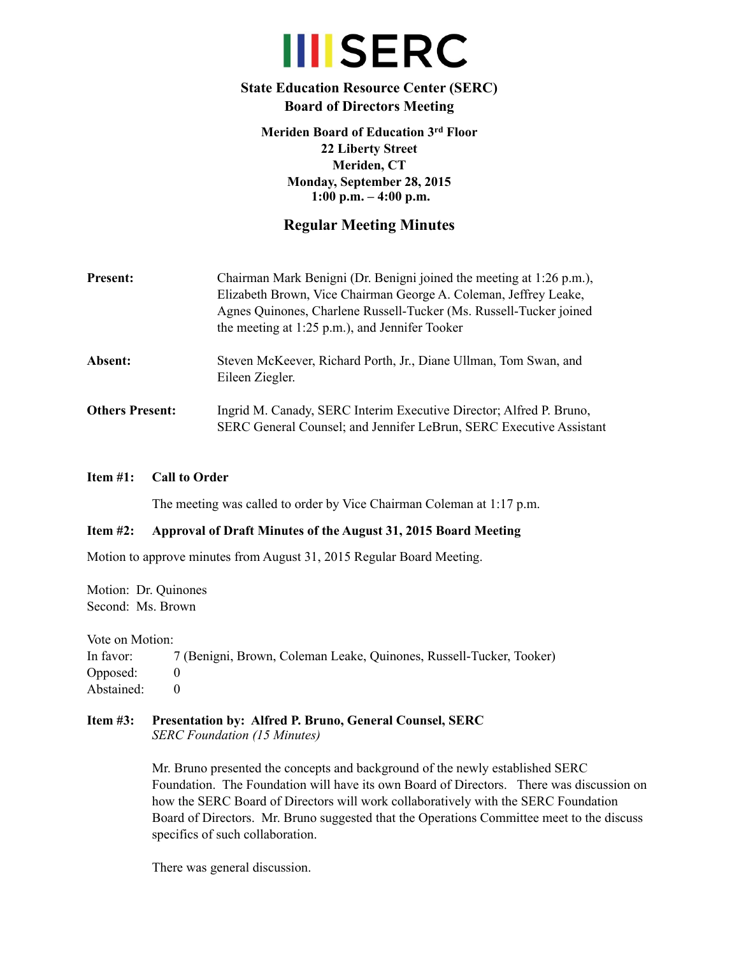# **III**SERC

# **State Education Resource Center (SERC) Board of Directors Meeting**

**Meriden Board of Education 3rd Floor 22 Liberty Street Meriden, CT Monday, September 28, 2015 1:00 p.m. – 4:00 p.m.**

# **Regular Meeting Minutes**

| <b>Present:</b>        | Chairman Mark Benigni (Dr. Benigni joined the meeting at 1:26 p.m.),<br>Elizabeth Brown, Vice Chairman George A. Coleman, Jeffrey Leake,<br>Agnes Quinones, Charlene Russell-Tucker (Ms. Russell-Tucker joined<br>the meeting at $1:25$ p.m.), and Jennifer Tooker |
|------------------------|--------------------------------------------------------------------------------------------------------------------------------------------------------------------------------------------------------------------------------------------------------------------|
| <b>Absent:</b>         | Steven McKeever, Richard Porth, Jr., Diane Ullman, Tom Swan, and<br>Eileen Ziegler.                                                                                                                                                                                |
| <b>Others Present:</b> | Ingrid M. Canady, SERC Interim Executive Director; Alfred P. Bruno,<br>SERC General Counsel; and Jennifer LeBrun, SERC Executive Assistant                                                                                                                         |

## **Item #1: Call to Order**

The meeting was called to order by Vice Chairman Coleman at 1:17 p.m.

# **Item #2: Approval of Draft Minutes of the August 31, 2015 Board Meeting**

Motion to approve minutes from August 31, 2015 Regular Board Meeting.

Motion: Dr. Quinones Second: Ms. Brown

Vote on Motion:

In favor: 7 (Benigni, Brown, Coleman Leake, Quinones, Russell-Tucker, Tooker) Opposed: 0 Abstained: 0

#### **Item #3: Presentation by: Alfred P. Bruno, General Counsel, SERC** *SERC Foundation (15 Minutes)*

Mr. Bruno presented the concepts and background of the newly established SERC Foundation. The Foundation will have its own Board of Directors. There was discussion on how the SERC Board of Directors will work collaboratively with the SERC Foundation Board of Directors. Mr. Bruno suggested that the Operations Committee meet to the discuss specifics of such collaboration.

There was general discussion.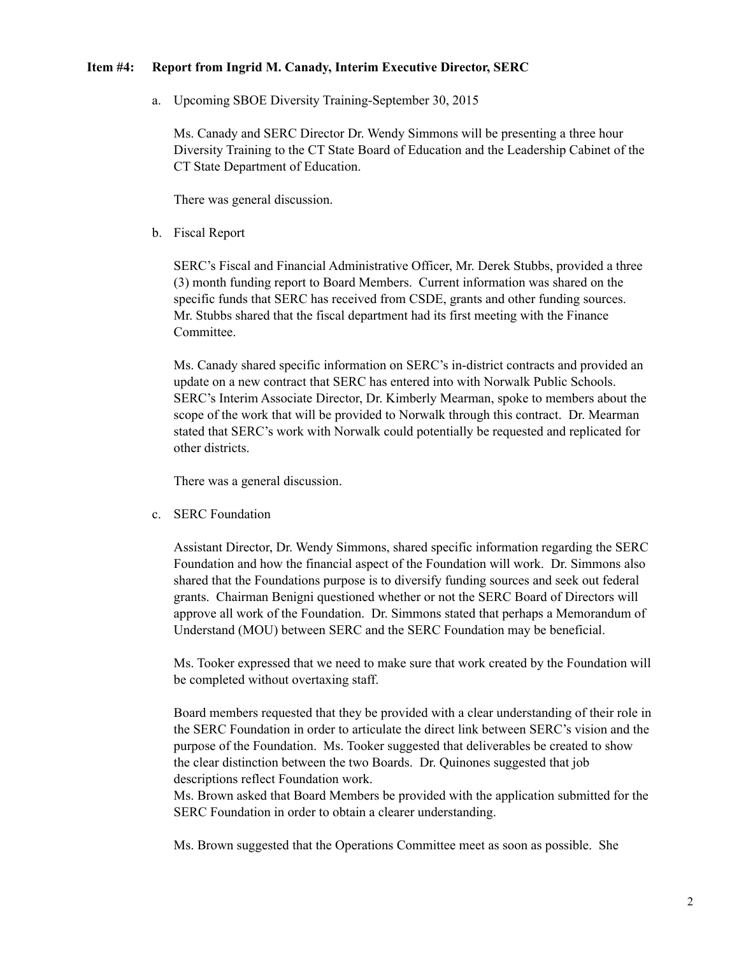#### **Item #4: Report from Ingrid M. Canady, Interim Executive Director, SERC**

a. Upcoming SBOE Diversity Training-September 30, 2015

Ms. Canady and SERC Director Dr. Wendy Simmons will be presenting a three hour Diversity Training to the CT State Board of Education and the Leadership Cabinet of the CT State Department of Education.

There was general discussion.

b. Fiscal Report

SERC's Fiscal and Financial Administrative Officer, Mr. Derek Stubbs, provided a three (3) month funding report to Board Members. Current information was shared on the specific funds that SERC has received from CSDE, grants and other funding sources. Mr. Stubbs shared that the fiscal department had its first meeting with the Finance Committee.

Ms. Canady shared specific information on SERC's in-district contracts and provided an update on a new contract that SERC has entered into with Norwalk Public Schools. SERC's Interim Associate Director, Dr. Kimberly Mearman, spoke to members about the scope of the work that will be provided to Norwalk through this contract. Dr. Mearman stated that SERC's work with Norwalk could potentially be requested and replicated for other districts.

There was a general discussion.

c. SERC Foundation

Assistant Director, Dr. Wendy Simmons, shared specific information regarding the SERC Foundation and how the financial aspect of the Foundation will work. Dr. Simmons also shared that the Foundations purpose is to diversify funding sources and seek out federal grants. Chairman Benigni questioned whether or not the SERC Board of Directors will approve all work of the Foundation. Dr. Simmons stated that perhaps a Memorandum of Understand (MOU) between SERC and the SERC Foundation may be beneficial.

Ms. Tooker expressed that we need to make sure that work created by the Foundation will be completed without overtaxing staff.

Board members requested that they be provided with a clear understanding of their role in the SERC Foundation in order to articulate the direct link between SERC's vision and the purpose of the Foundation. Ms. Tooker suggested that deliverables be created to show the clear distinction between the two Boards. Dr. Quinones suggested that job descriptions reflect Foundation work.

Ms. Brown asked that Board Members be provided with the application submitted for the SERC Foundation in order to obtain a clearer understanding.

Ms. Brown suggested that the Operations Committee meet as soon as possible. She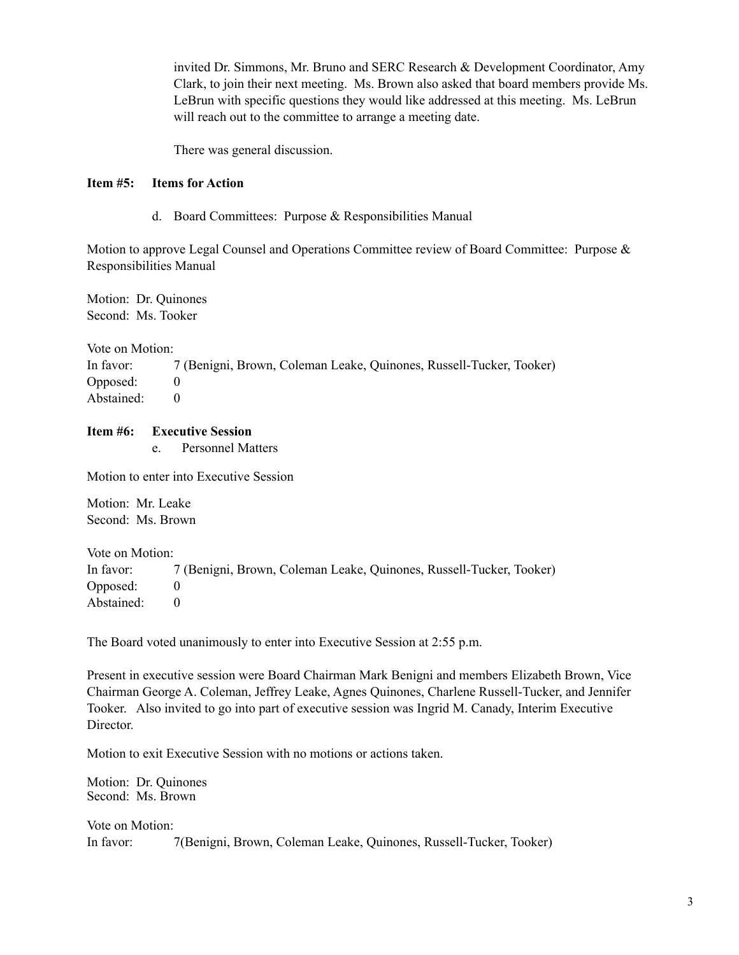invited Dr. Simmons, Mr. Bruno and SERC Research & Development Coordinator, Amy Clark, to join their next meeting. Ms. Brown also asked that board members provide Ms. LeBrun with specific questions they would like addressed at this meeting. Ms. LeBrun will reach out to the committee to arrange a meeting date.

There was general discussion.

### **Item #5: Items for Action**

d. Board Committees: Purpose & Responsibilities Manual

Motion to approve Legal Counsel and Operations Committee review of Board Committee: Purpose & Responsibilities Manual

Motion: Dr. Quinones Second: Ms. Tooker

Vote on Motion: In favor: 7 (Benigni, Brown, Coleman Leake, Quinones, Russell-Tucker, Tooker) Opposed: 0 Abstained: 0

## **Item #6: Executive Session**

e. Personnel Matters

Motion to enter into Executive Session

Motion: Mr. Leake Second: Ms. Brown

Vote on Motion: In favor: 7 (Benigni, Brown, Coleman Leake, Quinones, Russell-Tucker, Tooker) Opposed: 0 Abstained: 0

The Board voted unanimously to enter into Executive Session at 2:55 p.m.

Present in executive session were Board Chairman Mark Benigni and members Elizabeth Brown, Vice Chairman George A. Coleman, Jeffrey Leake, Agnes Quinones, Charlene Russell-Tucker, and Jennifer Tooker. Also invited to go into part of executive session was Ingrid M. Canady, Interim Executive Director.

Motion to exit Executive Session with no motions or actions taken.

Motion: Dr. Quinones Second: Ms. Brown

Vote on Motion: In favor: 7(Benigni, Brown, Coleman Leake, Quinones, Russell-Tucker, Tooker)